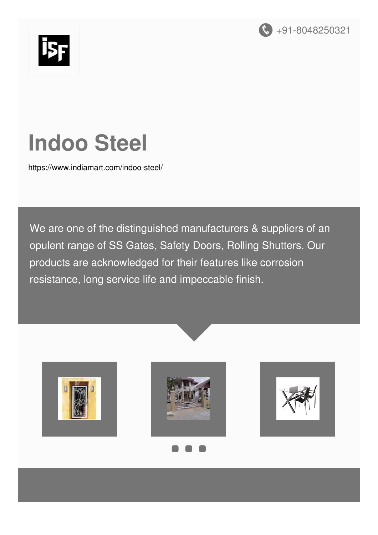



# **Indoo Steel**

<https://www.indiamart.com/indoo-steel/>

We are one of the distinguished manufacturers & suppliers of an opulent range of SS Gates, Safety Doors, Rolling Shutters. Our products are acknowledged for their features like corrosion resistance, long service life and impeccable finish.







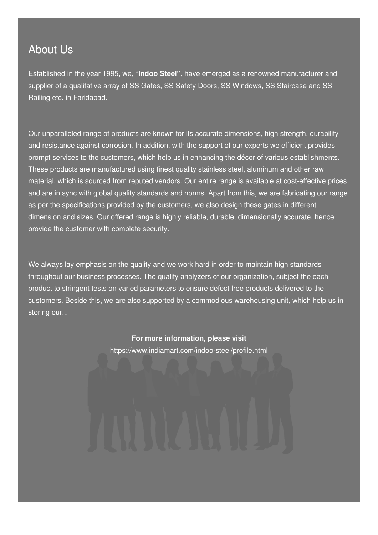#### About Us

Established in the year 1995, we, "**Indoo Steel"**, have emerged as a renowned manufacturer and supplier of a qualitative array of SS Gates, SS Safety Doors, SS Windows, SS Staircase and SS Railing etc. in Faridabad.

Our unparalleled range of products are known for its accurate dimensions, high strength, durability and resistance against corrosion. In addition, with the support of our experts we efficient provides prompt services to the customers, which help us in enhancing the décor of various establishments. These products are manufactured using finest quality stainless steel, aluminum and other raw material, which is sourced from reputed vendors. Our entire range is available at cost-effective prices and are in sync with global quality standards and norms. Apart from this, we are fabricating our range as per the specifications provided by the customers, we also design these gates in different dimension and sizes. Our offered range is highly reliable, durable, dimensionally accurate, hence provide the customer with complete security.

We always lay emphasis on the quality and we work hard in order to maintain high standards throughout our business processes. The quality analyzers of our organization, subject the each product to stringent tests on varied parameters to ensure defect free products delivered to the customers. Beside this, we are also supported by a commodious warehousing unit, which help us in storing our...

> **For more information, please visit** <https://www.indiamart.com/indoo-steel/profile.html>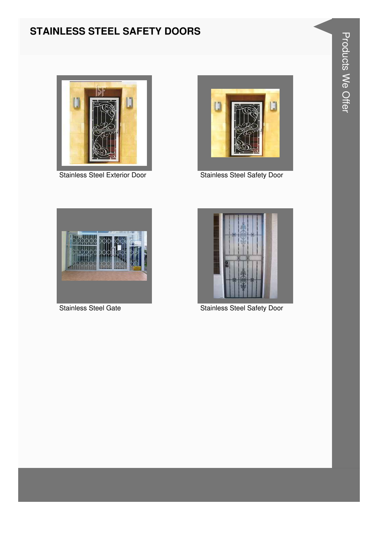#### **STAINLESS STEEL SAFETY DOORS**



Stainless Steel Exterior Door



**Stainless Steel Safety Door** 



**Stainless Steel Gate** 



**Stainless Steel Safety Door**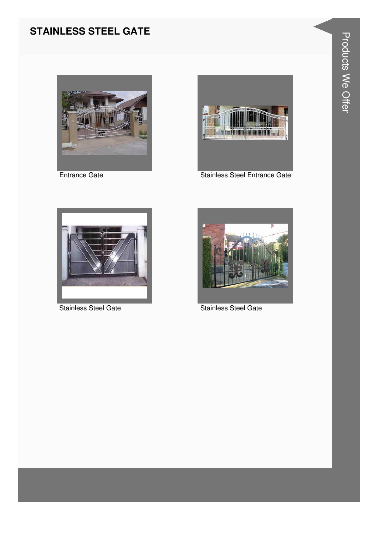#### **STAINLESS STEEL GATE**



**Entrance Gate** 



**Stainless Steel Entrance Gate** 



**Stainless Steel Gate** 



**Stainless Steel Gate**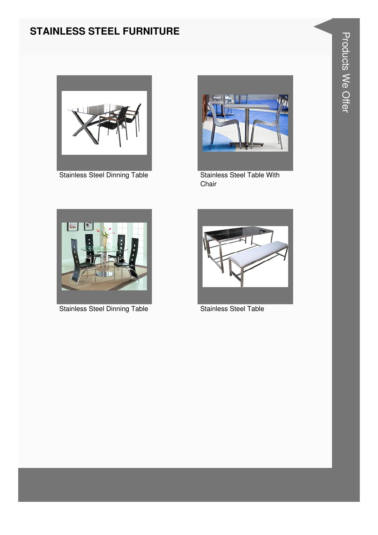#### **STAINLESS STEEL FURNITURE**





Stainless Steel Dinning Table **Stainless Steel Table With** Chair



Stainless Steel Dinning Table **Stainless Steel Table** 

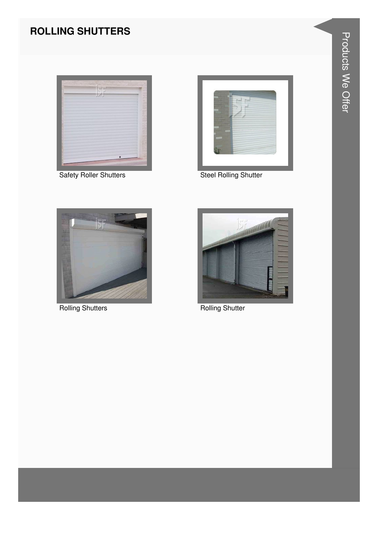#### **ROLLING SHUTTERS**



**Safety Roller Shutters** 



**Steel Rolling Shutter** 



**Rolling Shutters** 



**Rolling Shutter**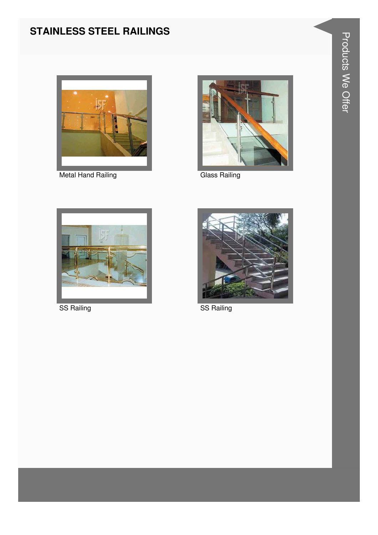#### **STAINLESS STEEL RAILINGS**



Metal Hand Railing



**Glass Railing** 



SS Railing



**SS Railing**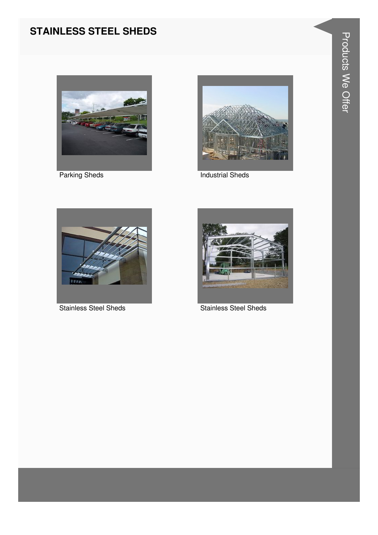#### **STAINLESS STEEL SHEDS**



**Parking Sheds** 



**Industrial Sheds** 



**Stainless Steel Sheds** 



**Stainless Steel Sheds**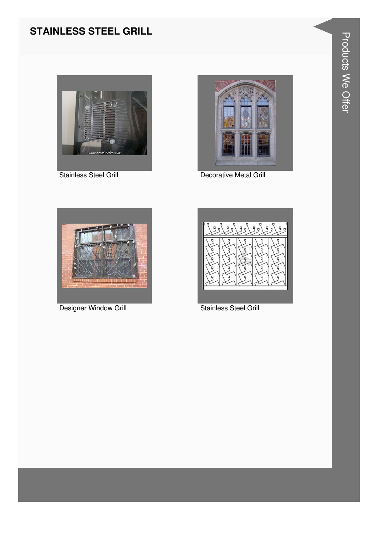#### **STAINLESS STEEL GRILL**





Stainless Steel Grill **Decorative Metal Grill** 





Designer Window Grill **Stainless Steel Grill** Stainless Steel Grill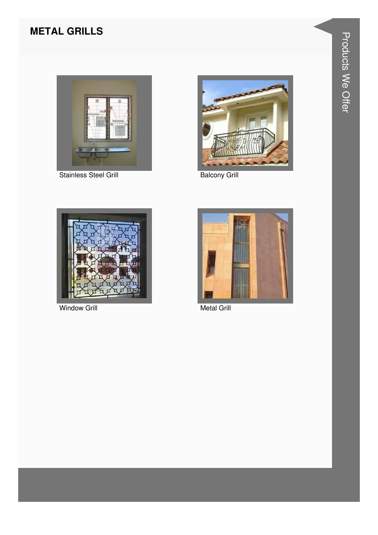# **METAL GRILLS**



**Stainless Steel Grill** 



**Balcony Grill** 



**Window Grill** 



**Metal Grill**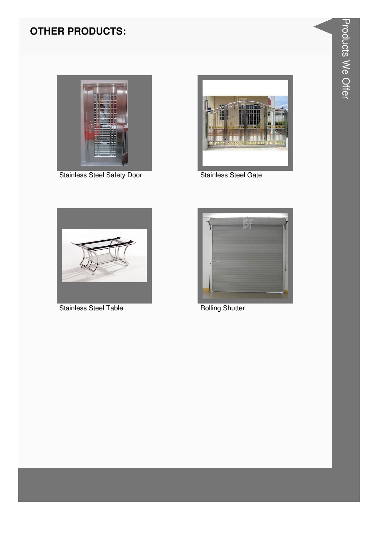# **OTHER PRODUCTS:**



**Stainless Steel Safety Door** 



**Stainless Steel Gate** 



**Stainless Steel Table** 



**Rolling Shutter**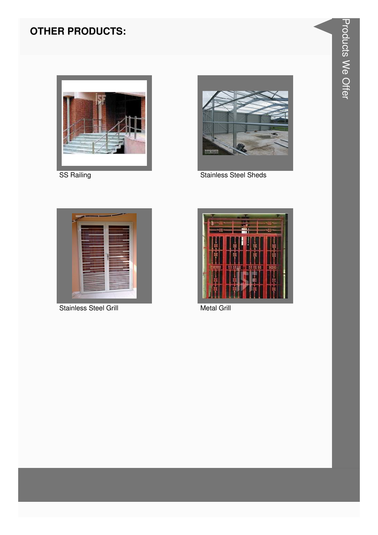# **OTHER PRODUCTS:**



SS Railing



**Stainless Steel Sheds** 



**Stainless Steel Grill** 



**Metal Grill**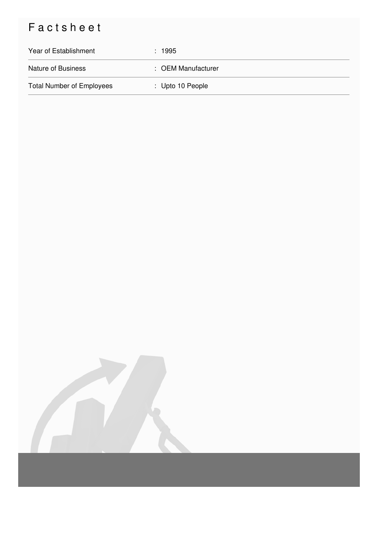# Factsheet

| Year of Establishment            | : 1995                      |
|----------------------------------|-----------------------------|
| <b>Nature of Business</b>        | : OEM Manufacturer          |
| <b>Total Number of Employees</b> | $\therefore$ Upto 10 People |